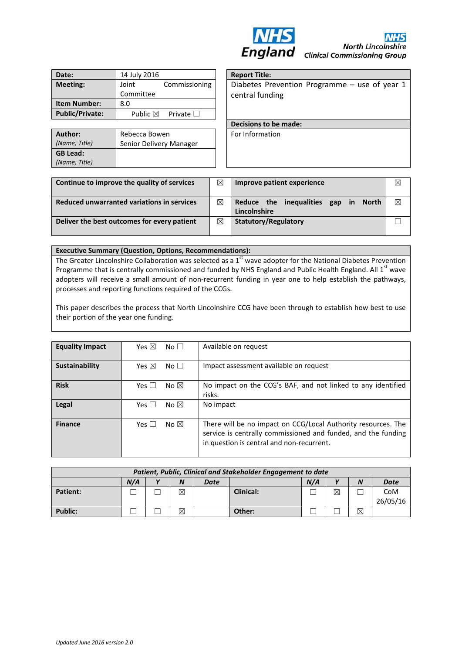

| Date:                  | 14 July 2016       |                   |
|------------------------|--------------------|-------------------|
| <b>Meeting:</b>        | Joint              | Commissioning     |
|                        | Committee          |                   |
| <b>Item Number:</b>    | 8.0                |                   |
| <b>Public/Private:</b> | Public $\boxtimes$ | Private $\square$ |

| Author:                          | Rebecca Bowen           |  |  |  |
|----------------------------------|-------------------------|--|--|--|
| (Name, Title)                    | Senior Delivery Manager |  |  |  |
| <b>GB Lead:</b><br>(Name, Title) |                         |  |  |  |

**Report Title:** Diabetes Prevention Programme – use of year 1 central funding

**Decisions to be made:** 

For Information

| Continue to improve the quality of services | ⊠ | Improve patient experience                                                         |             |
|---------------------------------------------|---|------------------------------------------------------------------------------------|-------------|
| Reduced unwarranted variations in services  | ⊠ | inequalities<br>Reduce the<br>$\mathsf{in}$<br>gap<br><b>North</b><br>Lincolnshire | $\boxtimes$ |
| Deliver the best outcomes for every patient | ⊠ | Statutory/Regulatory                                                               |             |

#### **Executive Summary (Question, Options, Recommendations):**

The Greater Lincolnshire Collaboration was selected as a  $1<sup>st</sup>$  wave adopter for the National Diabetes Prevention Programme that is centrally commissioned and funded by NHS England and Public Health England. All 1<sup>st</sup> wave adopters will receive a small amount of non-recurrent funding in year one to help establish the pathways, processes and reporting functions required of the CCGs.

This paper describes the process that North Lincolnshire CCG have been through to establish how best to use their portion of the year one funding.

| <b>Equality Impact</b> | Yes $\boxtimes$ | No <sub>1</sub> | Available on request                                                                                                                                                        |
|------------------------|-----------------|-----------------|-----------------------------------------------------------------------------------------------------------------------------------------------------------------------------|
| Sustainability         | Yes $\boxtimes$ | No <sub>1</sub> | Impact assessment available on request                                                                                                                                      |
| <b>Risk</b>            | Yes $\Box$      | No $\boxtimes$  | No impact on the CCG's BAF, and not linked to any identified<br>risks.                                                                                                      |
| <b>Legal</b>           | Yes $\Box$      | No $\boxtimes$  | No impact                                                                                                                                                                   |
| <b>Finance</b>         | Yes $\square$   | No $\boxtimes$  | There will be no impact on CCG/Local Authority resources. The<br>service is centrally commissioned and funded, and the funding<br>in question is central and non-recurrent. |

| Patient, Public, Clinical and Stakeholder Engagement to date |     |  |   |      |                  |     |             |                  |                 |
|--------------------------------------------------------------|-----|--|---|------|------------------|-----|-------------|------------------|-----------------|
|                                                              | N/A |  |   | Date |                  | N/A |             | $\boldsymbol{N}$ | <b>Date</b>     |
| <b>Patient:</b>                                              |     |  | ⊠ |      | <b>Clinical:</b> |     | $\boxtimes$ |                  | CoM<br>26/05/16 |
| <b>Public:</b>                                               |     |  | ⊠ |      | Other:           |     |             | ⊠                |                 |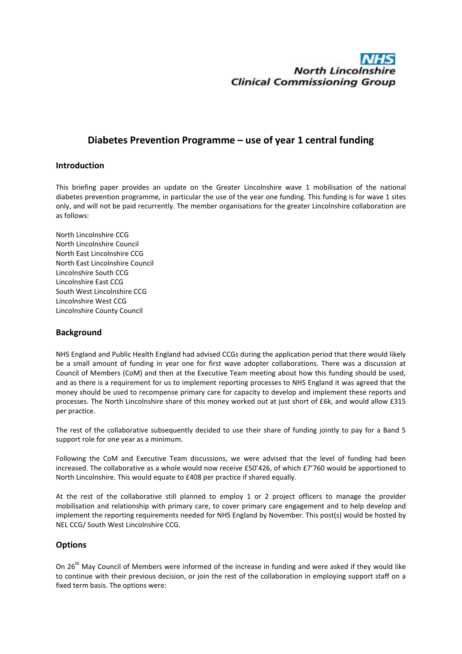# **North Lincolnshire Clinical Commissioning Group**

# **Diabetes Prevention Programme – use of year 1 central funding**

#### **Introduction**

This briefing paper provides an update on the Greater Lincolnshire wave 1 mobilisation of the national diabetes prevention programme, in particular the use of the year one funding. This funding is for wave 1 sites only, and will not be paid recurrently. The member organisations for the greater Lincolnshire collaboration are as follows:

North Lincolnshire CCG North Lincolnshire Council North East Lincolnshire CCG North East Lincolnshire Council Lincolnshire South CCG Lincolnshire East CCG South West Lincolnshire CCG Lincolnshire West CCG Lincolnshire County Council

## **Background**

NHS England and Public Health England had advised CCGs during the application period that there would likely be a small amount of funding in year one for first wave adopter collaborations. There was a discussion at Council of Members (CoM) and then at the Executive Team meeting about how this funding should be used, and as there is a requirement for us to implement reporting processes to NHS England it was agreed that the money should be used to recompense primary care for capacity to develop and implement these reports and processes. The North Lincolnshire share of this money worked out at just short of £6k, and would allow £315 per practice.

The rest of the collaborative subsequently decided to use their share of funding jointly to pay for a Band 5 support role for one year as a minimum.

Following the CoM and Executive Team discussions, we were advised that the level of funding had been increased. The collaborative as a whole would now receive £50'426, of which £7'760 would be apportioned to North Lincolnshire. This would equate to £408 per practice if shared equally.

At the rest of the collaborative still planned to employ 1 or 2 project officers to manage the provider mobilisation and relationship with primary care, to cover primary care engagement and to help develop and implement the reporting requirements needed for NHS England by November. This post(s) would be hosted by NEL CCG/ South West Lincolnshire CCG.

## **Options**

On  $26<sup>th</sup>$  May Council of Members were informed of the increase in funding and were asked if they would like to continue with their previous decision, or join the rest of the collaboration in employing support staff on a fixed term basis. The options were: